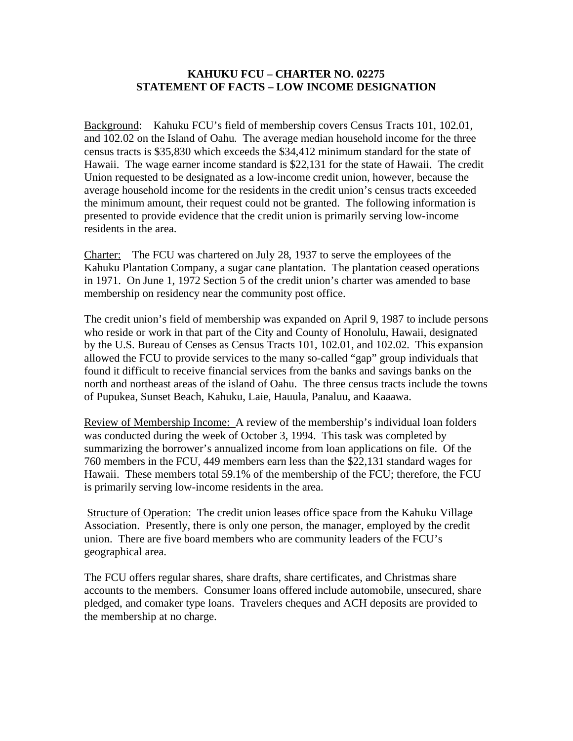## **KAHUKU FCU – CHARTER NO. 02275 STATEMENT OF FACTS – LOW INCOME DESIGNATION**

Background: Kahuku FCU's field of membership covers Census Tracts 101, 102.01, and 102.02 on the Island of Oahu. The average median household income for the three census tracts is \$35,830 which exceeds the \$34,412 minimum standard for the state of Hawaii. The wage earner income standard is \$22,131 for the state of Hawaii. The credit Union requested to be designated as a low-income credit union, however, because the average household income for the residents in the credit union's census tracts exceeded the minimum amount, their request could not be granted. The following information is presented to provide evidence that the credit union is primarily serving low-income residents in the area.

Charter: The FCU was chartered on July 28, 1937 to serve the employees of the Kahuku Plantation Company, a sugar cane plantation. The plantation ceased operations in 1971. On June 1, 1972 Section 5 of the credit union's charter was amended to base membership on residency near the community post office.

The credit union's field of membership was expanded on April 9, 1987 to include persons who reside or work in that part of the City and County of Honolulu, Hawaii, designated by the U.S. Bureau of Censes as Census Tracts 101, 102.01, and 102.02. This expansion allowed the FCU to provide services to the many so-called "gap" group individuals that found it difficult to receive financial services from the banks and savings banks on the north and northeast areas of the island of Oahu. The three census tracts include the towns of Pupukea, Sunset Beach, Kahuku, Laie, Hauula, Panaluu, and Kaaawa.

Review of Membership Income: A review of the membership's individual loan folders was conducted during the week of October 3, 1994. This task was completed by summarizing the borrower's annualized income from loan applications on file. Of the 760 members in the FCU, 449 members earn less than the \$22,131 standard wages for Hawaii. These members total 59.1% of the membership of the FCU; therefore, the FCU is primarily serving low-income residents in the area.

 Structure of Operation: The credit union leases office space from the Kahuku Village Association. Presently, there is only one person, the manager, employed by the credit union. There are five board members who are community leaders of the FCU's geographical area.

The FCU offers regular shares, share drafts, share certificates, and Christmas share accounts to the members. Consumer loans offered include automobile, unsecured, share pledged, and comaker type loans. Travelers cheques and ACH deposits are provided to the membership at no charge.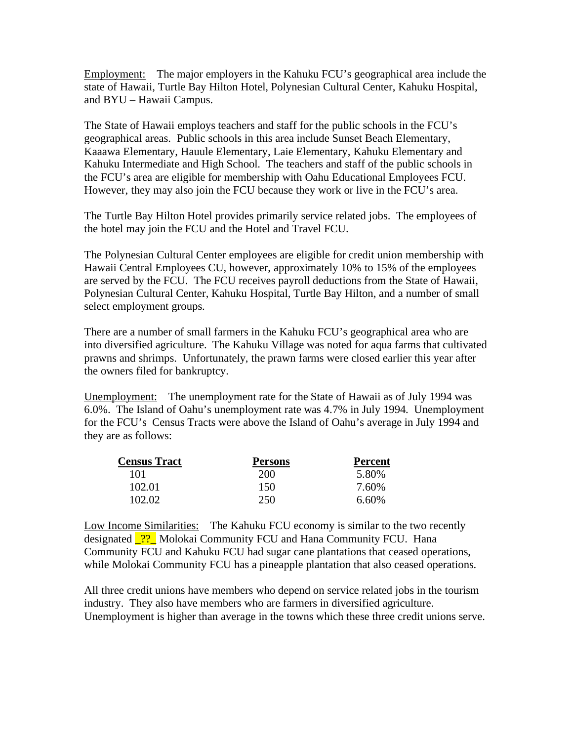Employment: The major employers in the Kahuku FCU's geographical area include the state of Hawaii, Turtle Bay Hilton Hotel, Polynesian Cultural Center, Kahuku Hospital, and BYU – Hawaii Campus.

The State of Hawaii employs teachers and staff for the public schools in the FCU's geographical areas. Public schools in this area include Sunset Beach Elementary, Kaaawa Elementary, Hauule Elementary, Laie Elementary, Kahuku Elementary and Kahuku Intermediate and High School. The teachers and staff of the public schools in the FCU's area are eligible for membership with Oahu Educational Employees FCU. However, they may also join the FCU because they work or live in the FCU's area.

The Turtle Bay Hilton Hotel provides primarily service related jobs. The employees of the hotel may join the FCU and the Hotel and Travel FCU.

The Polynesian Cultural Center employees are eligible for credit union membership with Hawaii Central Employees CU, however, approximately 10% to 15% of the employees are served by the FCU. The FCU receives payroll deductions from the State of Hawaii, Polynesian Cultural Center, Kahuku Hospital, Turtle Bay Hilton, and a number of small select employment groups.

There are a number of small farmers in the Kahuku FCU's geographical area who are into diversified agriculture. The Kahuku Village was noted for aqua farms that cultivated prawns and shrimps. Unfortunately, the prawn farms were closed earlier this year after the owners filed for bankruptcy.

Unemployment: The unemployment rate for the State of Hawaii as of July 1994 was 6.0%. The Island of Oahu's unemployment rate was 4.7% in July 1994. Unemployment for the FCU's Census Tracts were above the Island of Oahu's average in July 1994 and they are as follows:

| <b>Census Tract</b> | <b>Persons</b> | <b>Percent</b> |
|---------------------|----------------|----------------|
| 101                 | <b>200</b>     | 5.80%          |
| 102.01              | 150            | 7.60%          |
| 102.02              | 250            | 6.60%          |

Low Income Similarities: The Kahuku FCU economy is similar to the two recently designated <sup>2?</sup> Molokai Community FCU and Hana Community FCU. Hana Community FCU and Kahuku FCU had sugar cane plantations that ceased operations, while Molokai Community FCU has a pineapple plantation that also ceased operations.

All three credit unions have members who depend on service related jobs in the tourism industry. They also have members who are farmers in diversified agriculture. Unemployment is higher than average in the towns which these three credit unions serve.